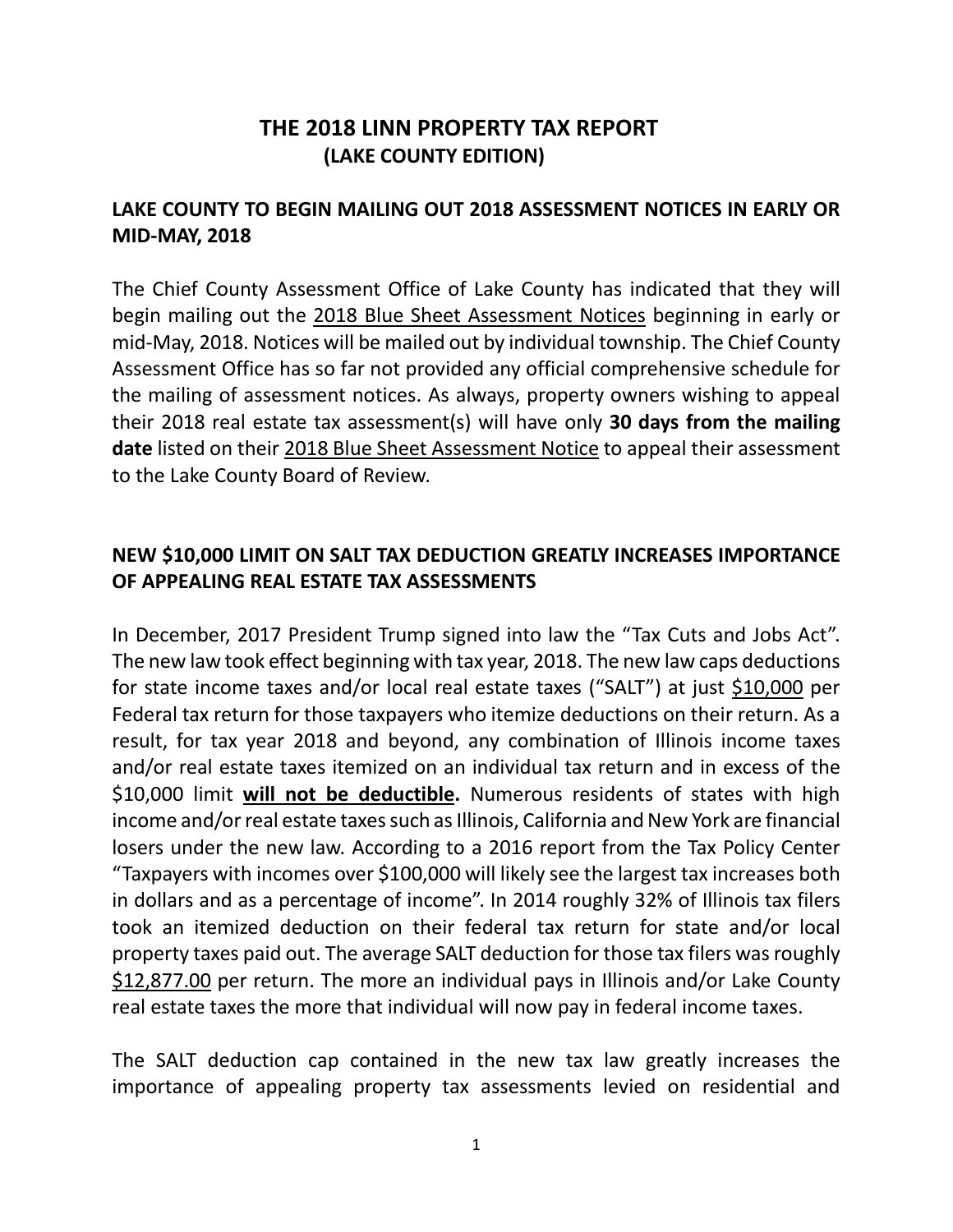## **THE 2018 LINN PROPERTY TAX REPORT (LAKE COUNTY EDITION)**

## **LAKE COUNTY TO BEGIN MAILING OUT 2018 ASSESSMENT NOTICES IN EARLY OR MID-MAY, 2018**

The Chief County Assessment Office of Lake County has indicated that they will begin mailing out the 2018 Blue Sheet Assessment Notices beginning in early or mid-May, 2018. Notices will be mailed out by individual township. The Chief County Assessment Office has so far not provided any official comprehensive schedule for the mailing of assessment notices. As always, property owners wishing to appeal their 2018 real estate tax assessment(s) will have only **30 days from the mailing date** listed on their 2018 Blue Sheet Assessment Notice to appeal their assessment to the Lake County Board of Review.

## **NEW \$10,000 LIMIT ON SALT TAX DEDUCTION GREATLY INCREASES IMPORTANCE OF APPEALING REAL ESTATE TAX ASSESSMENTS**

In December, 2017 President Trump signed into law the "Tax Cuts and Jobs Act". The new law took effect beginning with tax year, 2018. The new law caps deductions for state income taxes and/or local real estate taxes ("SALT") at just \$10,000 per Federal tax return for those taxpayers who itemize deductions on their return. As a result, for tax year 2018 and beyond, any combination of Illinois income taxes and/or real estate taxes itemized on an individual tax return and in excess of the \$10,000 limit **will not be deductible.** Numerous residents of states with high income and/or real estate taxes such as Illinois, California and New York are financial losers under the new law. According to a 2016 report from the Tax Policy Center "Taxpayers with incomes over \$100,000 will likely see the largest tax increases both in dollars and as a percentage of income". In 2014 roughly 32% of Illinois tax filers took an itemized deduction on their federal tax return for state and/or local property taxes paid out. The average SALT deduction for those tax filers was roughly \$12,877.00 per return. The more an individual pays in Illinois and/or Lake County real estate taxes the more that individual will now pay in federal income taxes.

The SALT deduction cap contained in the new tax law greatly increases the importance of appealing property tax assessments levied on residential and